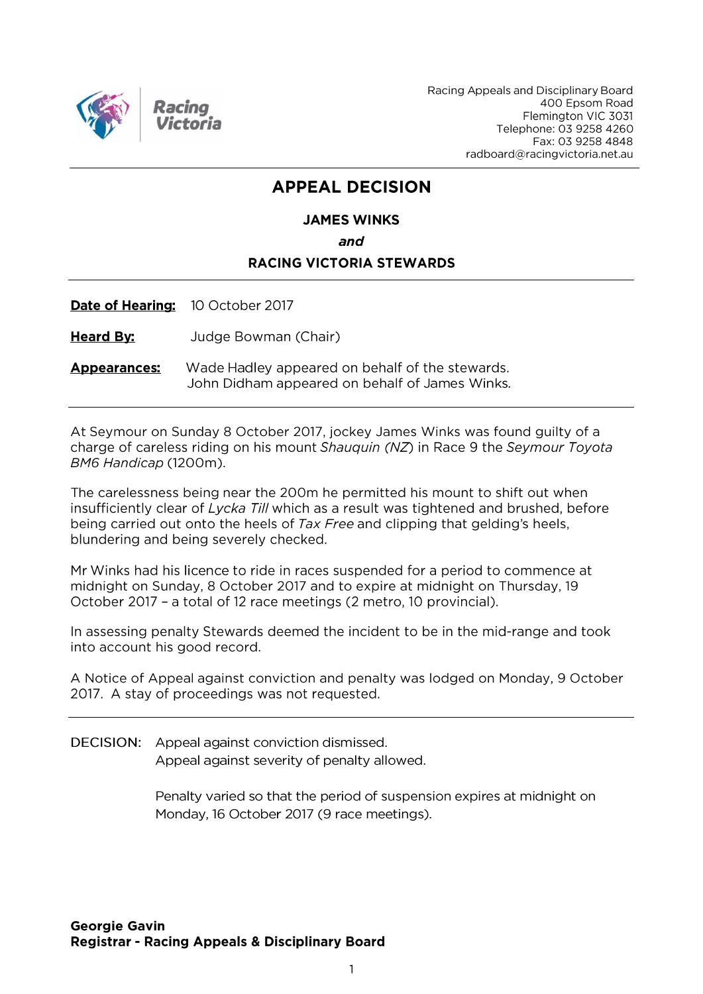

Racing Appeals and Disciplinary Board 400 Epsom Road Flemington VIC 3031 Telephone: 03 9258 4260 Fax: 03 9258 4848 radboard@racingvictoria.net.au

## **APPEAL DECISION**

#### **JAMES WINKS**

and

#### **RACING VICTORIA STEWARDS**

Date of Hearing: 10 October 2017

**Heard By:** Judge Bowman (Chair)

**Appearances:** Wade Hadley appeared on behalf of the stewards. John Didham appeared on behalf of James Winks.

At Seymour on Sunday 8 October 2017, jockey James Winks was found guilty of a charge of careless riding on his mount Shauguin (NZ) in Race 9 the Seymour Toyota BM6 Handicap (1200m).

The carelessness being near the 200m he permitted his mount to shift out when insufficiently clear of Lycka Till which as a result was tightened and brushed, before being carried out onto the heels of Tax Free and clipping that gelding's heels, blundering and being severely checked.

Mr Winks had his licence to ride in races suspended for a period to commence at midnight on Sunday, 8 October 2017 and to expire at midnight on Thursday, 19 October 2017 - a total of 12 race meetings (2 metro, 10 provincial).

In assessing penalty Stewards deemed the incident to be in the mid-range and took into account his good record.

A Notice of Appeal against conviction and penalty was lodged on Monday, 9 October 2017. A stay of proceedings was not requested.

DECISION: Appeal against conviction dismissed. Appeal against severity of penalty allowed.

> Penalty varied so that the period of suspension expires at midnight on Monday, 16 October 2017 (9 race meetings).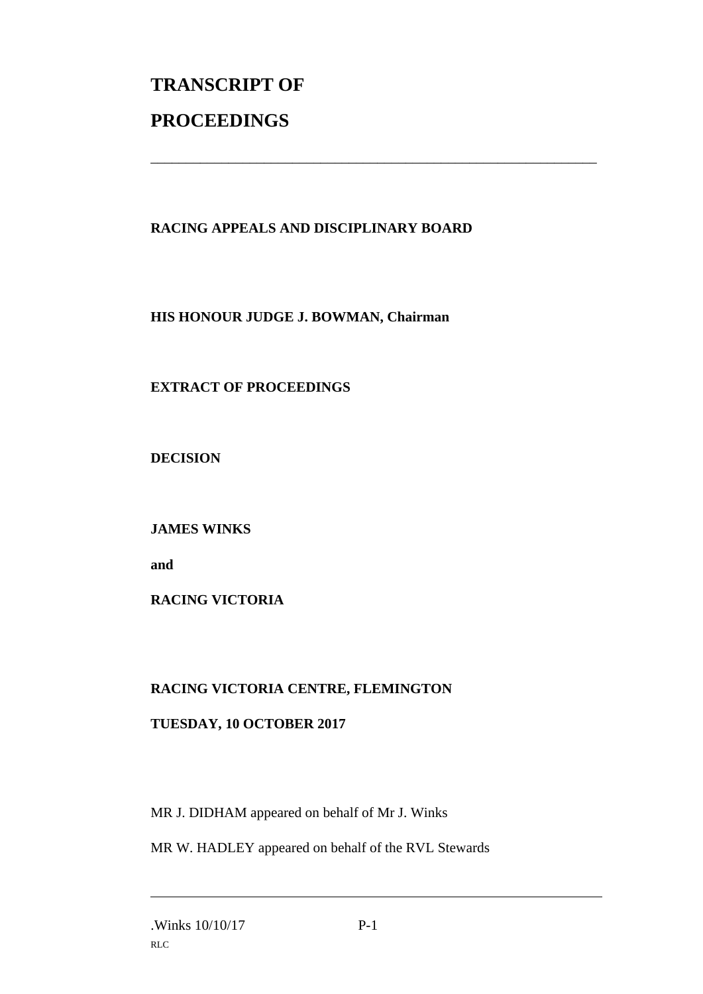# **TRANSCRIPT OF PROCEEDINGS**

### **RACING APPEALS AND DISCIPLINARY BOARD**

\_\_\_\_\_\_\_\_\_\_\_\_\_\_\_\_\_\_\_\_\_\_\_\_\_\_\_\_\_\_\_\_\_\_\_\_\_\_\_\_\_\_\_\_\_\_\_\_\_\_\_\_\_\_\_\_\_\_\_\_\_\_\_

**HIS HONOUR JUDGE J. BOWMAN, Chairman**

### **EXTRACT OF PROCEEDINGS**

**DECISION**

**JAMES WINKS**

**and** 

**RACING VICTORIA**

#### **RACING VICTORIA CENTRE, FLEMINGTON**

#### **TUESDAY, 10 OCTOBER 2017**

MR J. DIDHAM appeared on behalf of Mr J. Winks

MR W. HADLEY appeared on behalf of the RVL Stewards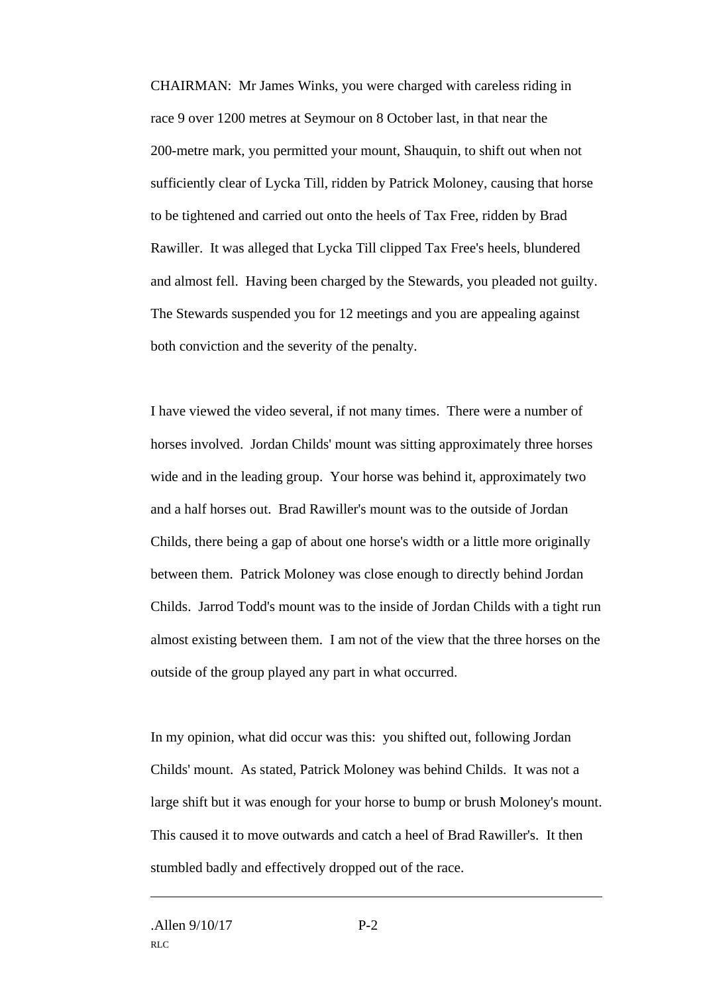CHAIRMAN: Mr James Winks, you were charged with careless riding in race 9 over 1200 metres at Seymour on 8 October last, in that near the 200-metre mark, you permitted your mount, Shauquin, to shift out when not sufficiently clear of Lycka Till, ridden by Patrick Moloney, causing that horse to be tightened and carried out onto the heels of Tax Free, ridden by Brad Rawiller. It was alleged that Lycka Till clipped Tax Free's heels, blundered and almost fell. Having been charged by the Stewards, you pleaded not guilty. The Stewards suspended you for 12 meetings and you are appealing against both conviction and the severity of the penalty.

I have viewed the video several, if not many times. There were a number of horses involved. Jordan Childs' mount was sitting approximately three horses wide and in the leading group. Your horse was behind it, approximately two and a half horses out. Brad Rawiller's mount was to the outside of Jordan Childs, there being a gap of about one horse's width or a little more originally between them. Patrick Moloney was close enough to directly behind Jordan Childs. Jarrod Todd's mount was to the inside of Jordan Childs with a tight run almost existing between them. I am not of the view that the three horses on the outside of the group played any part in what occurred.

In my opinion, what did occur was this: you shifted out, following Jordan Childs' mount. As stated, Patrick Moloney was behind Childs. It was not a large shift but it was enough for your horse to bump or brush Moloney's mount. This caused it to move outwards and catch a heel of Brad Rawiller's. It then stumbled badly and effectively dropped out of the race.